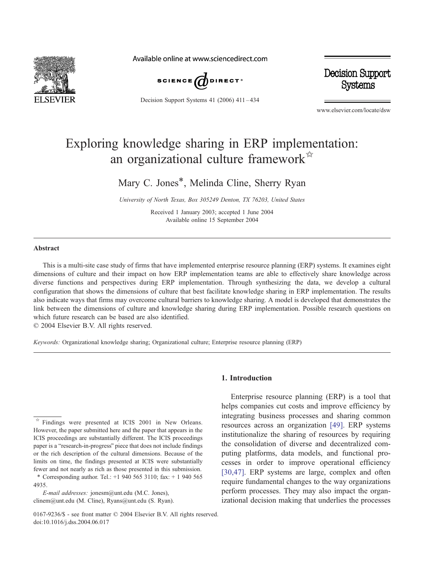

Available online at www.sciencedirect.com



Decision Support Systems 41 (2006) 411 – 434

Decision Support **Systems** 

www.elsevier.com/locate/dsw

## Exploring knowledge sharing in ERP implementation: an organizational culture framework $\mathbb{R}^{\times}$

Mary C. Jones\*, Melinda Cline, Sherry Ryan

University of North Texas, Box 305249 Denton, TX 76203, United States

Received 1 January 2003; accepted 1 June 2004 Available online 15 September 2004

## Abstract

This is a multi-site case study of firms that have implemented enterprise resource planning (ERP) systems. It examines eight dimensions of culture and their impact on how ERP implementation teams are able to effectively share knowledge across diverse functions and perspectives during ERP implementation. Through synthesizing the data, we develop a cultural configuration that shows the dimensions of culture that best facilitate knowledge sharing in ERP implementation. The results also indicate ways that firms may overcome cultural barriers to knowledge sharing. A model is developed that demonstrates the link between the dimensions of culture and knowledge sharing during ERP implementation. Possible research questions on which future research can be based are also identified.

 $© 2004 Elsevier B.V. All rights reserved.$ 

Keywords: Organizational knowledge sharing; Organizational culture; Enterprise resource planning (ERP)

E-mail addresses: jonesm@unt.edu (M.C. Jones), clinem@unt.edu (M. Cline), Ryans@unt.edu (S. Ryan).

## 1. Introduction

Enterprise resource planning (ERP) is a tool that helps companies cut costs and improve efficiency by integrating business processes and sharing common resources across an organization [\[49\].](#page--1-0) ERP systems institutionalize the sharing of resources by requiring the consolidation of diverse and decentralized computing platforms, data models, and functional processes in order to improve operational efficiency [\[30,47\].](#page--1-0) ERP systems are large, complex and often require fundamental changes to the way organizations perform processes. They may also impact the organizational decision making that underlies the processes

 $\overrightarrow{B}$  Findings were presented at ICIS 2001 in New Orleans. However, the paper submitted here and the paper that appears in the ICIS proceedings are substantially different. The ICIS proceedings paper is a "research-in-progress" piece that does not include findings or the rich description of the cultural dimensions. Because of the limits on time, the findings presented at ICIS were substantially fewer and not nearly as rich as those presented in this submission. \* Corresponding author. Tel.: +1 940 565 3110; fax: + 1 940 565 4935.

<sup>0167-9236/\$ -</sup> see front matter  $\odot$  2004 Elsevier B.V. All rights reserved. doi:10.1016/j.dss.2004.06.017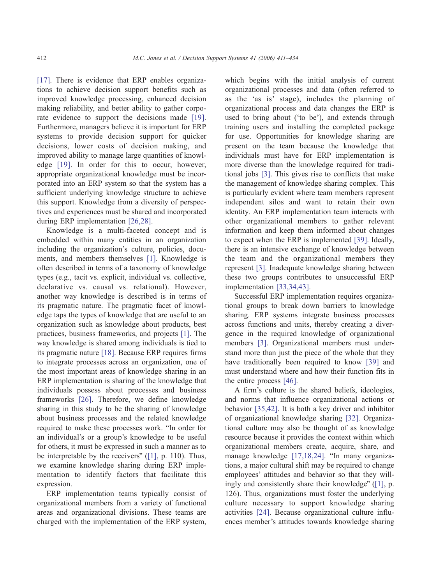[\[17\].](#page--1-0) There is evidence that ERP enables organizations to achieve decision support benefits such as improved knowledge processing, enhanced decision making reliability, and better ability to gather corporate evidence to support the decisions made [\[19\].](#page--1-0) Furthermore, managers believe it is important for ERP systems to provide decision support for quicker decisions, lower costs of decision making, and improved ability to manage large quantities of knowledge [\[19\].](#page--1-0) In order for this to occur, however, appropriate organizational knowledge must be incorporated into an ERP system so that the system has a sufficient underlying knowledge structure to achieve this support. Knowledge from a diversity of perspectives and experiences must be shared and incorporated during ERP implementation [\[26,28\].](#page--1-0)

Knowledge is a multi-faceted concept and is embedded within many entities in an organization including the organization's culture, policies, documents, and members themselves [\[1\].](#page--1-0) Knowledge is often described in terms of a taxonomy of knowledge types (e.g., tacit vs. explicit, individual vs. collective, declarative vs. causal vs. relational). However, another way knowledge is described is in terms of its pragmatic nature. The pragmatic facet of knowledge taps the types of knowledge that are useful to an organization such as knowledge about products, best practices, business frameworks, and projects [\[1\].](#page--1-0) The way knowledge is shared among individuals is tied to its pragmatic nature [\[18\].](#page--1-0) Because ERP requires firms to integrate processes across an organization, one of the most important areas of knowledge sharing in an ERP implementation is sharing of the knowledge that individuals possess about processes and business frameworks [\[26\].](#page--1-0) Therefore, we define knowledge sharing in this study to be the sharing of knowledge about business processes and the related knowledge required to make these processes work. "In order for an individual's or a group's knowledge to be useful for others, it must be expressed in such a manner as to be interpretable by the receivers"  $(1]$ , p. 110). Thus, we examine knowledge sharing during ERP implementation to identify factors that facilitate this expression.

ERP implementation teams typically consist of organizational members from a variety of functional areas and organizational divisions. These teams are charged with the implementation of the ERP system,

which begins with the initial analysis of current organizational processes and data (often referred to as the 'as is' stage), includes the planning of organizational process and data changes the ERP is used to bring about ('to be'), and extends through training users and installing the completed package for use. Opportunities for knowledge sharing are present on the team because the knowledge that individuals must have for ERP implementation is more diverse than the knowledge required for traditional jobs [\[3\].](#page--1-0) This gives rise to conflicts that make the management of knowledge sharing complex. This is particularly evident where team members represent independent silos and want to retain their own identity. An ERP implementation team interacts with other organizational members to gather relevant information and keep them informed about changes to expect when the ERP is implemented [\[39\].](#page--1-0) Ideally, there is an intensive exchange of knowledge between the team and the organizational members they represent [\[3\].](#page--1-0) Inadequate knowledge sharing between these two groups contributes to unsuccessful ERP implementation [\[33,34,43\].](#page--1-0)

Successful ERP implementation requires organizational groups to break down barriers to knowledge sharing. ERP systems integrate business processes across functions and units, thereby creating a divergence in the required knowledge of organizational members [\[3\].](#page--1-0) Organizational members must understand more than just the piece of the whole that they have traditionally been required to know [\[39\]](#page--1-0) and must understand where and how their function fits in the entire process [\[46\].](#page--1-0)

A firm's culture is the shared beliefs, ideologies, and norms that influence organizational actions or behavior [\[35,42\].](#page--1-0) It is both a key driver and inhibitor of organizational knowledge sharing [\[32\].](#page--1-0) Organizational culture may also be thought of as knowledge resource because it provides the context within which organizational members create, acquire, share, and manage knowledge [\[17,18,24\].](#page--1-0) "In many organizations, a major cultural shift may be required to change employees' attitudes and behavior so that they willingly and consistently share their knowledge" ( $[1]$ , p. 126). Thus, organizations must foster the underlying culture necessary to support knowledge sharing activities [\[24\].](#page--1-0) Because organizational culture influences member's attitudes towards knowledge sharing